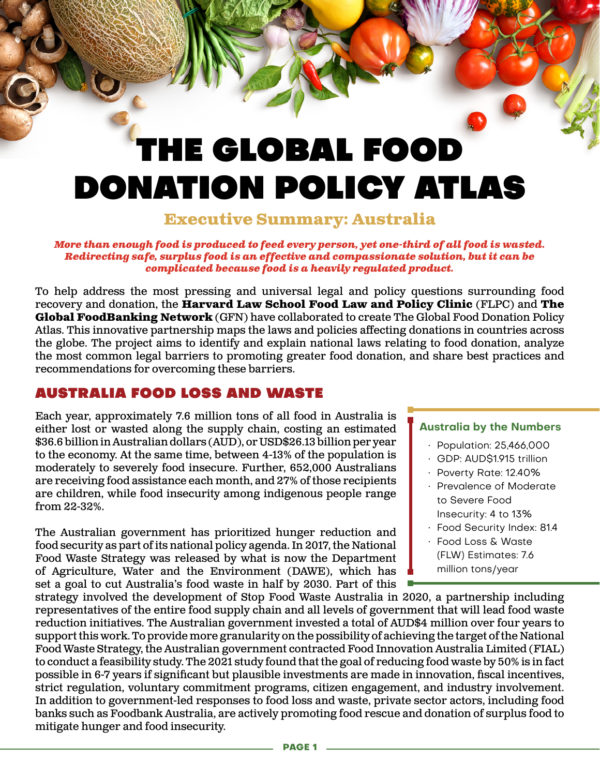# THE GLOBAL FOOD DONATION POLICY ATLAS

## **Executive Summary: Australia**

#### *More than enough food is produced to feed every person, yet one-third of all food is wasted. Redirecting safe, surplus food is an effective and compassionate solution, but it can be complicated because food is a heavily regulated product.*

To help address the most pressing and universal legal and policy questions surrounding food recovery and donation, the **Harvard Law School Food Law and Policy Clinic** (FLPC) and **The Global FoodBanking Network** (GFN) have collaborated to create The Global Food Donation Policy Atlas. This innovative partnership maps the laws and policies affecting donations in countries across the globe. The project aims to identify and explain national laws relating to food donation, analyze the most common legal barriers to promoting greater food donation, and share best practices and recommendations for overcoming these barriers.

### AUSTRALIA FOOD LOSS AND WASTE

Each year, approximately 7.6 million tons of all food in Australia is either lost or wasted along the supply chain, costing an estimated \$36.6 billion in Australian dollars (AUD), or USD\$26.13 billion per year to the economy. At the same time, between 4-13% of the population is moderately to severely food insecure. Further, 652,000 Australians are receiving food assistance each month, and 27% of those recipients are children, while food insecurity among indigenous people range from 22-32%.

The Australian government has prioritized hunger reduction and food security as part of its national policy agenda. In 2017, the National Food Waste Strategy was released by what is now the Department of Agriculture, Water and the Environment (DAWE), which has set a goal to cut Australia's food waste in half by 2030. Part of this

#### **Australia by the Numbers**

- Population: 25,466,000
- GDP: AUD\$1.915 trillion
- Poverty Rate: 12.40%
- Prevalence of Moderate to Severe Food Insecurity: 4 to 13%
- Food Security Index: 81.4
- Food Loss & Waste (FLW) Estimates: 7.6 million tons/year

strategy involved the development of Stop Food Waste Australia in 2020, a partnership including representatives of the entire food supply chain and all levels of government that will lead food waste reduction initiatives. The Australian government invested a total of AUD\$4 million over four years to support this work. To provide more granularity on the possibility of achieving the target of the National Food Waste Strategy, the Australian government contracted Food Innovation Australia Limited (FIAL) to conduct a feasibility study. The 2021 study found that the goal of reducing food waste by 50% is in fact possible in 6-7 years if significant but plausible investments are made in innovation, fiscal incentives, strict regulation, voluntary commitment programs, citizen engagement, and industry involvement. In addition to government-led responses to food loss and waste, private sector actors, including food banks such as Foodbank Australia, are actively promoting food rescue and donation of surplus food to mitigate hunger and food insecurity.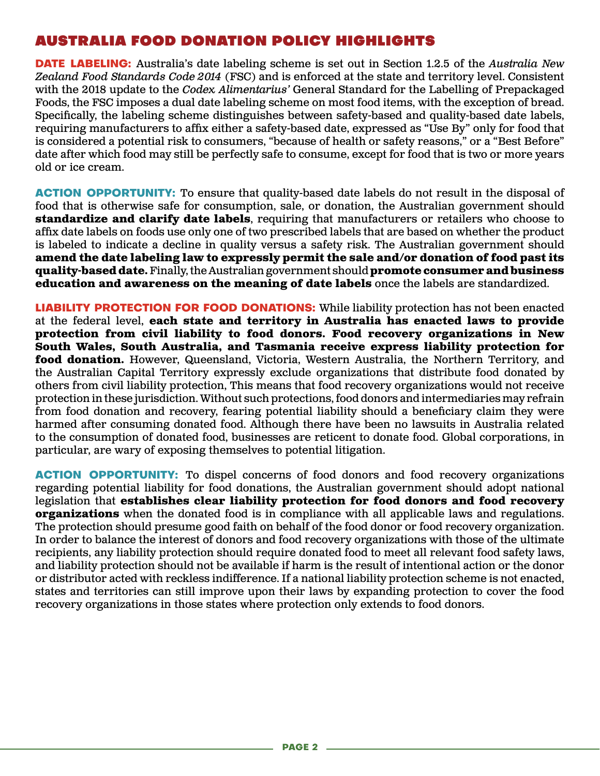#### AUSTRALIA FOOD DONATION POLICY HIGHLIGHTS

**DATE LABELING:** Australia's date labeling scheme is set out in Section 1.2.5 of the *Australia New Zealand Food Standards Code 2014* (FSC) and is enforced at the state and territory level. Consistent with the 2018 update to the *Codex Alimentarius'* General Standard for the Labelling of Prepackaged Foods, the FSC imposes a dual date labeling scheme on most food items, with the exception of bread. Specifically, the labeling scheme distinguishes between safety-based and quality-based date labels, requiring manufacturers to affix either a safety-based date, expressed as "Use By" only for food that is considered a potential risk to consumers, "because of health or safety reasons," or a "Best Before" date after which food may still be perfectly safe to consume, except for food that is two or more years old or ice cream.

**ACTION OPPORTUNITY:** To ensure that quality-based date labels do not result in the disposal of food that is otherwise safe for consumption, sale, or donation, the Australian government should **standardize and clarify date labels**, requiring that manufacturers or retailers who choose to affix date labels on foods use only one of two prescribed labels that are based on whether the product is labeled to indicate a decline in quality versus a safety risk. The Australian government should **amend the date labeling law to expressly permit the sale and/or donation of food past its quality-based date.** Finally, the Australian government should **promote consumer and business education and awareness on the meaning of date labels** once the labels are standardized.

**LIABILITY PROTECTION FOR FOOD DONATIONS:** While liability protection has not been enacted at the federal level, **each state and territory in Australia has enacted laws to provide protection from civil liability to food donors. Food recovery organizations in New South Wales, South Australia, and Tasmania receive express liability protection for food donation.** However, Queensland, Victoria, Western Australia, the Northern Territory, and the Australian Capital Territory expressly exclude organizations that distribute food donated by others from civil liability protection, This means that food recovery organizations would not receive protection in these jurisdiction. Without such protections, food donors and intermediaries may refrain from food donation and recovery, fearing potential liability should a beneficiary claim they were harmed after consuming donated food. Although there have been no lawsuits in Australia related to the consumption of donated food, businesses are reticent to donate food. Global corporations, in particular, are wary of exposing themselves to potential litigation.

**ACTION OPPORTUNITY:** To dispel concerns of food donors and food recovery organizations regarding potential liability for food donations, the Australian government should adopt national legislation that **establishes clear liability protection for food donors and food recovery organizations** when the donated food is in compliance with all applicable laws and regulations. The protection should presume good faith on behalf of the food donor or food recovery organization. In order to balance the interest of donors and food recovery organizations with those of the ultimate recipients, any liability protection should require donated food to meet all relevant food safety laws, and liability protection should not be available if harm is the result of intentional action or the donor or distributor acted with reckless indifference. If a national liability protection scheme is not enacted, states and territories can still improve upon their laws by expanding protection to cover the food recovery organizations in those states where protection only extends to food donors.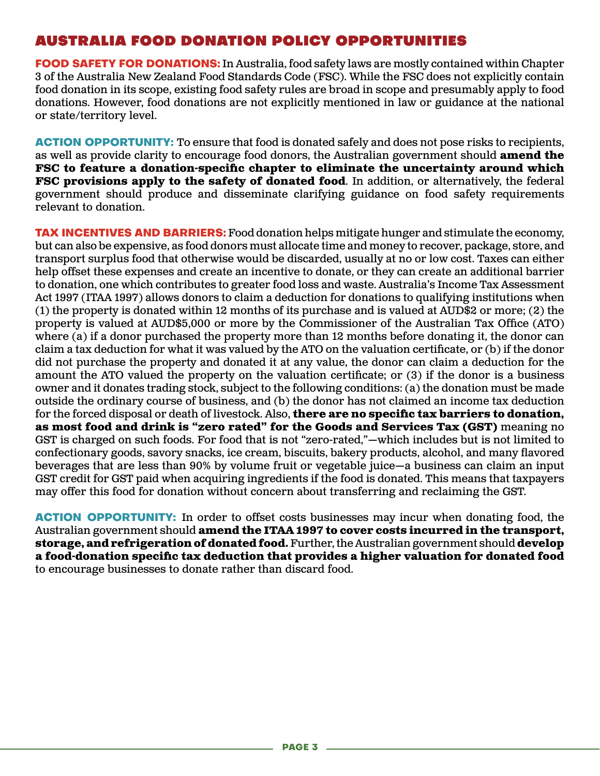#### AUSTRALIA FOOD DONATION POLICY OPPORTUNITIES

**FOOD SAFETY FOR DONATIONS:** In Australia, food safety laws are mostly contained within Chapter 3 of the Australia New Zealand Food Standards Code (FSC). While the FSC does not explicitly contain food donation in its scope, existing food safety rules are broad in scope and presumably apply to food donations. However, food donations are not explicitly mentioned in law or guidance at the national or state/territory level.

**ACTION OPPORTUNITY:** To ensure that food is donated safely and does not pose risks to recipients, as well as provide clarity to encourage food donors, the Australian government should **amend the FSC to feature a donation-specific chapter to eliminate the uncertainty around which FSC provisions apply to the safety of donated food.** In addition, or alternatively, the federal government should produce and disseminate clarifying guidance on food safety requirements relevant to donation.

**TAX INCENTIVES AND BARRIERS:** Food donation helps mitigate hunger and stimulate the economy, but can also be expensive, as food donors must allocate time and money to recover, package, store, and transport surplus food that otherwise would be discarded, usually at no or low cost. Taxes can either help offset these expenses and create an incentive to donate, or they can create an additional barrier to donation, one which contributes to greater food loss and waste. Australia's Income Tax Assessment Act 1997 (ITAA 1997) allows donors to claim a deduction for donations to qualifying institutions when (1) the property is donated within 12 months of its purchase and is valued at AUD\$2 or more; (2) the property is valued at AUD\$5,000 or more by the Commissioner of the Australian Tax Office (ATO) where (a) if a donor purchased the property more than 12 months before donating it, the donor can claim a tax deduction for what it was valued by the ATO on the valuation certificate, or (b) if the donor did not purchase the property and donated it at any value, the donor can claim a deduction for the amount the ATO valued the property on the valuation certificate; or (3) if the donor is a business owner and it donates trading stock, subject to the following conditions: (a) the donation must be made outside the ordinary course of business, and (b) the donor has not claimed an income tax deduction for the forced disposal or death of livestock. Also, **there are no specific tax barriers to donation, as most food and drink is "zero rated" for the Goods and Services Tax (GST)** meaning no GST is charged on such foods. For food that is not "zero-rated,"—which includes but is not limited to confectionary goods, savory snacks, ice cream, biscuits, bakery products, alcohol, and many flavored beverages that are less than 90% by volume fruit or vegetable juice—a business can claim an input GST credit for GST paid when acquiring ingredients if the food is donated. This means that taxpayers may offer this food for donation without concern about transferring and reclaiming the GST.

**ACTION OPPORTUNITY:** In order to offset costs businesses may incur when donating food, the Australian government should **amend the ITAA 1997 to cover costs incurred in the transport, storage, and refrigeration of donated food.** Further, the Australian government should **develop a food-donation specific tax deduction that provides a higher valuation for donated food** to encourage businesses to donate rather than discard food.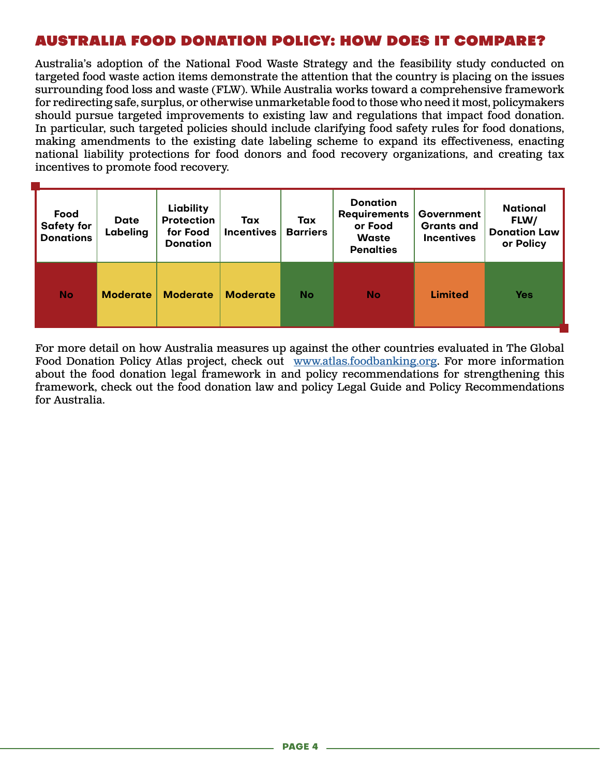### AUSTRALIA FOOD DONATION POLICY: HOW DOES IT COMPARE?

Australia's adoption of the National Food Waste Strategy and the feasibility study conducted on targeted food waste action items demonstrate the attention that the country is placing on the issues surrounding food loss and waste (FLW). While Australia works toward a comprehensive framework for redirecting safe, surplus, or otherwise unmarketable food to those who need it most, policymakers should pursue targeted improvements to existing law and regulations that impact food donation. In particular, such targeted policies should include clarifying food safety rules for food donations, making amendments to the existing date labeling scheme to expand its effectiveness, enacting national liability protections for food donors and food recovery organizations, and creating tax incentives to promote food recovery.

| Food<br><b>Safety for</b><br><b>Donations</b> | <b>Date</b><br>Labeling | Liability<br><b>Protection</b><br>for Food<br><b>Donation</b> | Tax<br><b>Incentives</b> | Tax<br><b>Barriers</b> | <b>Donation</b><br><b>Requirements</b><br>or Food<br><b>Waste</b><br><b>Penalties</b> | Government<br><b>Grants and</b><br><b>Incentives</b> | <b>National</b><br>FLW/<br><b>Donation Law</b><br>or Policy |
|-----------------------------------------------|-------------------------|---------------------------------------------------------------|--------------------------|------------------------|---------------------------------------------------------------------------------------|------------------------------------------------------|-------------------------------------------------------------|
| <b>No</b>                                     | <b>Moderate</b>         | <b>Moderate</b>                                               | <b>Moderate</b>          | <b>No</b>              | <b>No</b>                                                                             | <b>Limited</b>                                       | <b>Yes</b>                                                  |

For more detail on how Australia measures up against the other countries evaluated in The Global Food Donation Policy Atlas project, check out [www.atlas.foodbanking.org](http://www.atlas.foodbanking.org). For more information about the food donation legal framework in and policy recommendations for strengthening this framework, check out the food donation law and policy Legal Guide and Policy Recommendations for Australia.